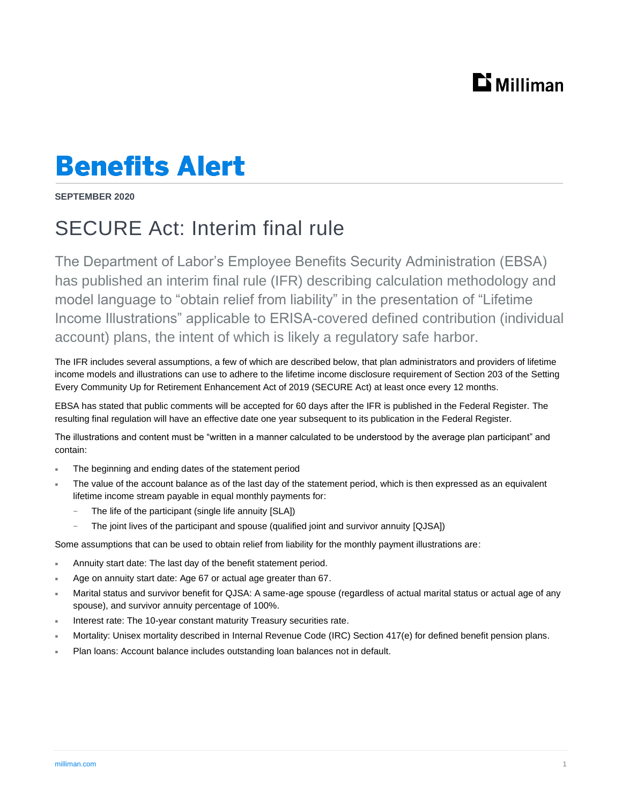## $\mathbf{D}$  Milliman

## **Benefits Alert**

**SEPTEMBER 2020**

## SECURE Act: Interim final rule

The Department of Labor's Employee Benefits Security Administration (EBSA) has published an interim final rule (IFR) describing calculation methodology and model language to "obtain relief from liability" in the presentation of "Lifetime Income Illustrations" applicable to ERISA-covered defined contribution (individual account) plans, the intent of which is likely a regulatory safe harbor.

The IFR includes several assumptions, a few of which are described below, that plan administrators and providers of lifetime income models and illustrations can use to adhere to the lifetime income disclosure requirement of Section 203 of the Setting Every Community Up for Retirement Enhancement Act of 2019 (SECURE Act) at least once every 12 months.

EBSA has stated that public comments will be accepted for 60 days after the IFR is published in the Federal Register. The resulting final regulation will have an effective date one year subsequent to its publication in the Federal Register.

The illustrations and content must be "written in a manner calculated to be understood by the average plan participant" and contain:

- The beginning and ending dates of the statement period
- The value of the account balance as of the last day of the statement period, which is then expressed as an equivalent lifetime income stream payable in equal monthly payments for:
	- The life of the participant (single life annuity [SLA])
	- The joint lives of the participant and spouse (qualified joint and survivor annuity [QJSA])

Some assumptions that can be used to obtain relief from liability for the monthly payment illustrations are:

- Annuity start date: The last day of the benefit statement period.
- Age on annuity start date: Age 67 or actual age greater than 67.
- Marital status and survivor benefit for QJSA: A same-age spouse (regardless of actual marital status or actual age of any spouse), and survivor annuity percentage of 100%.
- Interest rate: The 10-year constant maturity Treasury securities rate.
- Mortality: Unisex mortality described in Internal Revenue Code (IRC) Section 417(e) for defined benefit pension plans.
- Plan loans: Account balance includes outstanding loan balances not in default.